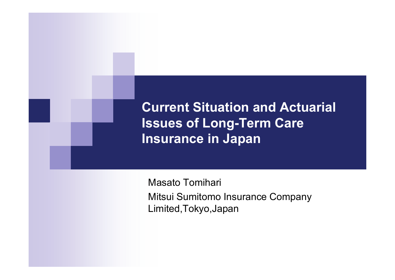**Current Situation and Actuarial Issues of Long-Term Care Insurance in Japan**

Masato Tomihari Mitsui Sumitomo Insurance Company Limited,Tokyo,Japan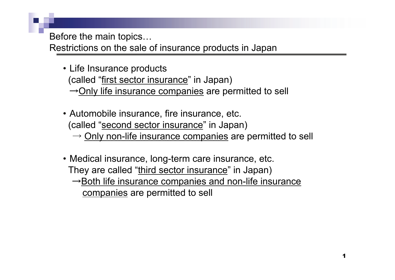Before the main topics…

Restrictions on the sale of insurance products in Japan

- Life Insurance products (called "first sector insurance" in Japan)  $\rightarrow$ Only life insurance companies are permitted to sell
- Automobile insurance, fire insurance, etc. (called "second sector insurance" in Japan)
	- $\rightarrow$  <u>Only non-life insurance companies</u> are permitted to sell
- Medical insurance, long-term care insurance, etc. They are called "third sector insurance" in Japan)  $\rightarrow$ Both life insurance companies and non-life insurance companies are permitted to sell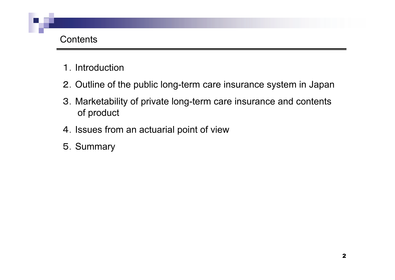#### Contents

- 1.Introduction
- 2.Outline of the public long-term care insurance system in Japan
- 3.Marketability of private long-term care insurance and contents of product
- 4.Issues from an actuarial point of view
- 5.Summary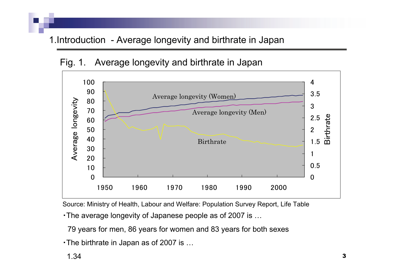#### 1.Introduction - Average longevity and birthrate in Japan





Source: Ministry of Health, Labour and Welfare: Population Survey Report, Life Table

・The average longevity of Japanese people as of 2007 is …

79 years for men, 86 years for women and 83 years for both sexes

・The birthrate in Japan as of 2007 is …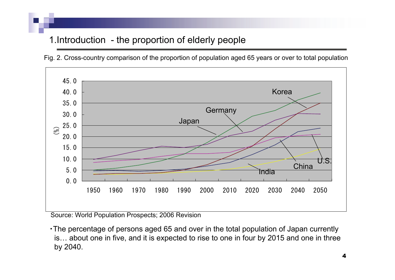# 1.Introduction - the proportion of elderly people

Fig. 2. Cross-country comparison of the proportion of population aged 65 years or over to total population



Source: World Population Prospects; 2006 Revision

・The percentage of persons aged 65 and over in the total population of Japan currently is… about one in five, and it is expected to rise to one in four by 2015 and one in three by 2040.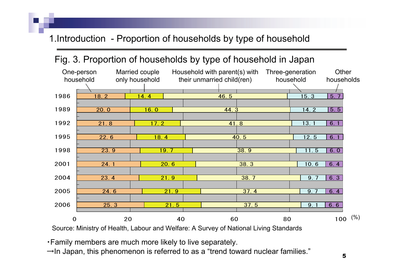## 1.Introduction - Proportion of households by type of household

## Fig. 3. Proportion of households by type of household in Japan



Source: Ministry of Health, Labour and Welfare: A Survey of National Living Standards

- ・Family members are much more likely to live separately.
- $\rightarrow$ In Japan, this phenomenon is referred to as a "trend toward nuclear families."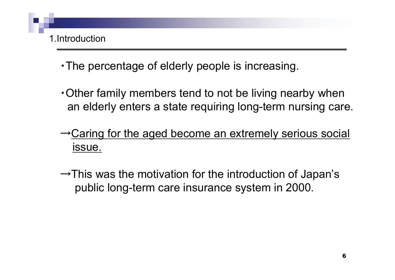

- ・The percentage of elderly people is increasing.
- ・Other family members tend to not be living nearby when an elderly enters a state requiring long-term nursing care.
- <sup>→</sup>Caring for the aged become an extremely serious social issue.
- $\rightarrow$ This was the motivation for the introduction of Japan's public long-term care insurance system in 2000.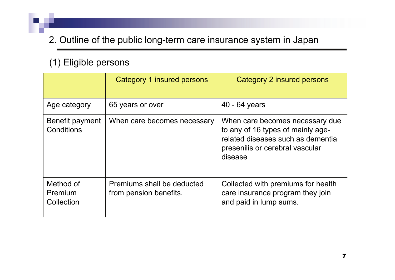#### (1) Eligible persons

|                                    | Category 1 insured persons                           | Category 2 insured persons                                                                                                                              |  |  |  |
|------------------------------------|------------------------------------------------------|---------------------------------------------------------------------------------------------------------------------------------------------------------|--|--|--|
| Age category                       | 40 - 64 years<br>65 years or over                    |                                                                                                                                                         |  |  |  |
| Benefit payment<br>Conditions      | When care becomes necessary                          | When care becomes necessary due<br>to any of 16 types of mainly age-<br>related diseases such as dementia<br>presenilis or cerebral vascular<br>disease |  |  |  |
| Method of<br>Premium<br>Collection | Premiums shall be deducted<br>from pension benefits. | Collected with premiums for health<br>care insurance program they join<br>and paid in lump sums.                                                        |  |  |  |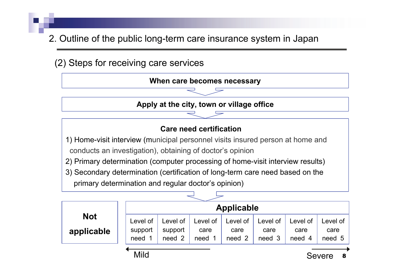

8Severe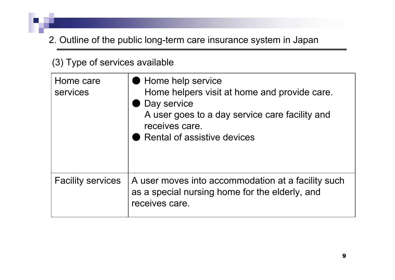#### (3) Type of services available

| Home care<br>services    | Home help service<br>Home helpers visit at home and provide care.<br>Day service<br>A user goes to a day service care facility and<br>receives care.<br>Rental of assistive devices |
|--------------------------|-------------------------------------------------------------------------------------------------------------------------------------------------------------------------------------|
| <b>Facility services</b> | A user moves into accommodation at a facility such<br>as a special nursing home for the elderly, and<br>receives care.                                                              |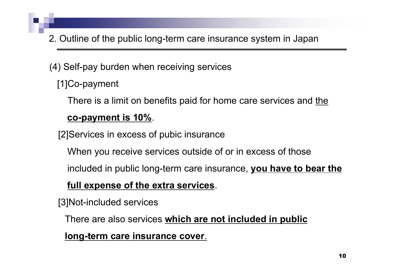(4) Self-pay burden when receiving services

[1]Co-payment

There is a limit on benefits paid for home care services and the

#### **co-payment is 10%**.

[2]Services in excess of pubic insurance

When you receive services outside of or in excess of those

included in public long-term care insurance, **you have to bear the** 

#### **full expense of the extra services**.

[3]Not-included services

There are also services **which are not included in public** 

**long-term care insurance cover**.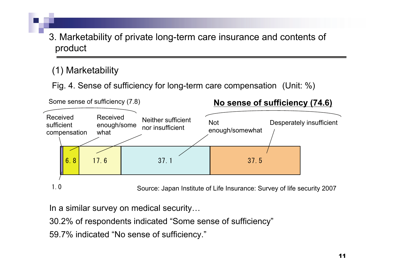3. Marketability of private long-term care insurance and contents of product

#### (1) Marketability

Fig. 4. Sense of sufficiency for long-term care compensation (Unit: %)



Source: Japan Institute of Life Insurance: Survey of life security 2007

In a similar survey on medical security…

30.2% of respondents indicated "Some sense of sufficiency"

59.7% indicated "No sense of sufficiency."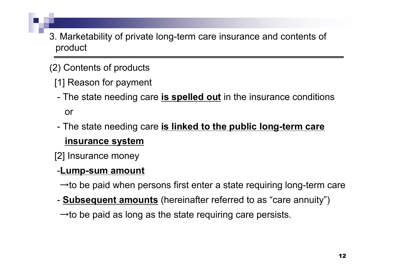- 3. Marketability of private long-term care insurance and contents of product
- (2) Contents of products
	- [1] Reason for payment
	- - The state needing care **is spelled out** in the insurance conditions or
	- - The state needing care **is linked to the public long-term care insurance system**
	- [2] Insurance money

## -**Lump-sum amount**

- $\rightarrow$  to be paid when persons first enter a state requiring long-term care
- -**Subsequent amounts** (hereinafter referred to as "care annuity")
- $\rightarrow$  to be paid as long as the state requiring care persists.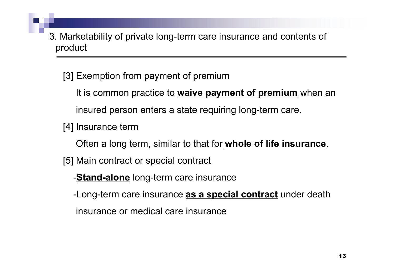3. Marketability of private long-term care insurance and contents of product

[3] Exemption from payment of premium

It is common practice to **waive payment of premium** when an insured person enters a state requiring long-term care.

[4] Insurance term

Often a long term, similar to that for **whole of life insurance**.

[5] Main contract or special contract

-**Stand-alone** long-term care insurance

-Long-term care insurance **as a special contract** under death

insurance or medical care insurance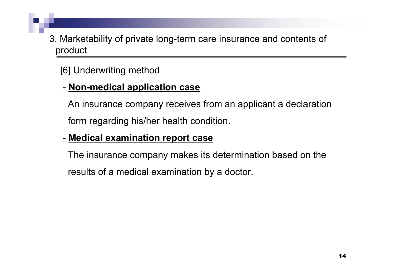3. Marketability of private long-term care insurance and contents of product

# [6] Underwriting method

#### **Non-medical application case**

An insurance company receives from an applicant a declaration form regarding his/her health condition.

#### **Medical examination report case**

The insurance company makes its determination based on the results of a medical examination by a doctor.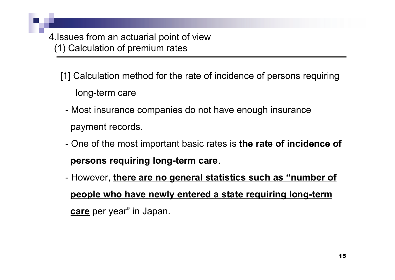- [1] Calculation method for the rate of incidence of persons requiring long-term care
	- Most insurance companies do not have enough insurance payment records.
	- One of the most important basic rates is **the rate of incidence of persons requiring long-term care**.
	- However, **there are no general statistics such as "number of people who have newly entered a state requiring long-term care** per year" in Japan.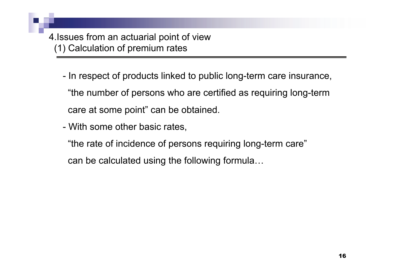- In respect of products linked to public long-term care insurance, "the number of persons who are certified as requiring long-term care at some point" can be obtained.
- With some other basic rates,
	- "the rate of incidence of persons requiring long-term care" can be calculated using the following formula…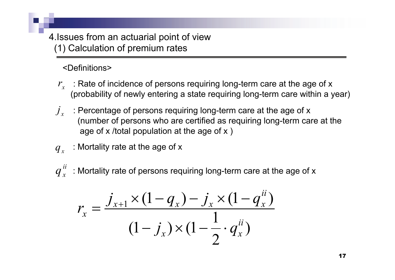<Definitions>

- $r_{_{\! X}}\;$   $\;$  : Rate of incidence of persons requiring long-term care at the age of  $\times$ (probability of newly entering a state requiring long-term care within a year)
- $\int_{\mathbf{r}}$ *j* : Percentage of persons requiring long-term care at the age of x (number of persons who are certified as requiring long-term care at the age of x /total population at the age of x )
- *xq* : Mortality rate at the age of x
- $q_{\,x}^{\,ii}\,$  : Mortality rate of persons requiring long-term care at the age of x

$$
r_x = \frac{j_{x+1} \times (1 - q_x) - j_x \times (1 - q_x^{ii})}{(1 - j_x) \times (1 - \frac{1}{2} \cdot q_x^{ii})}
$$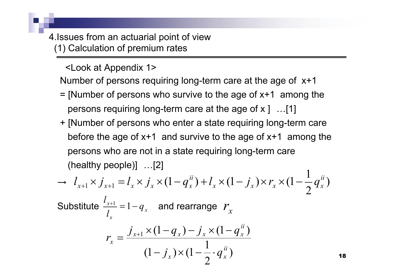Number of persons requiring long-term care at the age of x+1 <Look at Appendix 1>

- $=$  [Number of persons who survive to the age of  $x+1$  among the persons requiring long-term care at the age of x ] …[1]
- + [Number of persons who enter a state requiring long-term care before the age of  $x+1$  and survive to the age of  $x+1$  among the persons who are not in a state requiring long-term care (healthy people)] …[2] 1

$$
\rightarrow l_{x+1} \times j_{x+1} = l_x \times j_x \times (1 - q_x^{ii}) + l_x \times (1 - j_x) \times r_x \times (1 - \frac{1}{2} q_x^{ii})
$$
  
Substitute  $\frac{l_{x+1}}{l_x} = 1 - q_x$  and rearrange  $r_x$   

$$
r_x = \frac{j_{x+1} \times (1 - q_x) - j_x \times (1 - q_x^{ii})}{(1 - j_x) \times (1 - \frac{1}{2} \cdot q_x^{ii})}
$$

18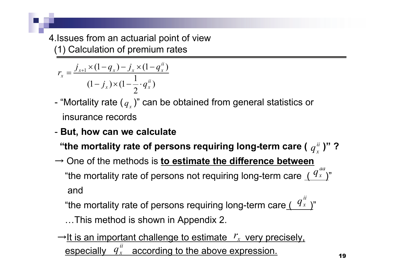$$
r_x = \frac{j_{x+1} \times (1 - q_x) - j_x \times (1 - q_x^{ii})}{(1 - j_x) \times (1 - \frac{1}{2} \cdot q_x^{ii})}
$$

- -- "Mortality rate (  $q_{_X}$  )" can be obtained from general statistics or insurance records
- **But, how can we calculate**

"the mortality rate of persons requiring long-term care (  $q^{\frac{ii}{\omega}}$  )" ? *ii xq*

→ One of the methods is **to estimate the difference between** "the mortality rate of persons not requiring long-term care  $\frac{(\,\,\mathit{\mathit{Y}}_x\,)\,}{\,}$ and *aax q*

"the mortality rate of persons requiring long-term care<u>(  $\frac{q_{x}}{x}$ </u>)" *ii x q*

…This method is shown in Appendix 2.

 $\rightarrow$  <u>It is an important challenge to estimate  $\left\vert \mathit{r}_{x}\right\rangle$  very precisely, </u> especially  $q_x^{\mu}$  according to the above expression. *iixq*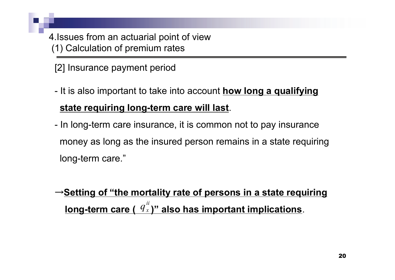[2] Insurance payment period

- - It is also important to take into account **how long a qualifying state requiring long-term care will last**.
- -- In long-term care insurance, it is common not to pay insurance money as long as the insured person remains in a state requiring long-term care."

<sup>→</sup>**Setting of "the mortality rate of persons in a state requiring**  <u>long-term care (  $\frac{q_{x}}{r}$ )" also has important implications</u>. *ii x q*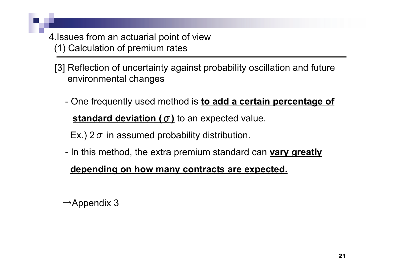- 4.Issues from an actuarial point of view (1) Calculation of premium rates
	- [3] Reflection of uncertainty against probability oscillation and future environmental changes
		- - One frequently used method is **to add a certain percentage of standard deviation (** σ **)** to an expected value.

Ex.) 2  $\sigma$  in assumed probability distribution.

-- In this method, the extra premium standard can <u>vary greatly</u>

#### **depending on how many contracts are expected.**

 $\rightarrow$ Appendix 3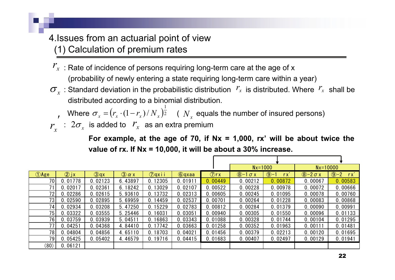- $r_{\rm x} \,$  : Rate of incidence of persons requiring long-term care at the age of  ${\rm x}$ (probability of newly entering a state requiring long-term care within a year)
- $\sigma_x$ : Standard deviation in the probabilistic distribution  $r_x$  is distributed. Where  $r_x$  shall be distributed according to a binomial distribution.

Where  $\sigma_x = (r_x \cdot (1 - r_x)/N_x)^{\frac{1}{2}}$  (  $N_x$  equals the number of insured persons)  $\sigma_x = (r_x \cdot (1 - r_x) / N_x)^{\frac{1}{2}}$  (  $N_x$ ı

 $\alpha$  *z*  $\sigma_x$  is added to  $\mathscr{V}_x$  as an extra premium  $r_{\rm x}$ 

**For example, at the age of 70, if Nx = 1,000, rx' will be about twice the value of rx. If Nx = 10,000, it will be about a 30% increase.**

|                           |          |               |                          |                 |                             |               | $Nx=1000$             |                   | $Nx=10000$           |                      |
|---------------------------|----------|---------------|--------------------------|-----------------|-----------------------------|---------------|-----------------------|-------------------|----------------------|----------------------|
| <b><i><u>DAge</u></i></b> | $(2)$ jx | $\bigcirc$ qx | $\circled{3}$ $\alpha$ x | $\bigcirc$ qxii | <b><i><u>G</u></i></b> qxaa | $\bigcirc$ rx | $(8)-1$<br>$\sigma x$ | $(9)$ -<br>$rx^2$ | $\sqrt{8}-2\sigma x$ | $\bigcirc$ -2<br>rx' |
| 70                        | 0.01778  | 0.02123       | 6.43897                  | 0.12305         | 0.01911                     | 0.00449       | 0.00212               | 0.00872           | 0.00067              | 0.00583              |
| 71                        | 0.02017  | 0.02361       | 6.18242                  | 0.13029         | 0.02107                     | 0.00522       | 0.00228               | 0.00978           | 0.00072              | 0.00666              |
| 72                        | 0.02286  | 0.02615       | 5.93610                  | 0.13732         | 0.02313                     | 0.00605       | 0.00245               | 0.01095           | 0.00078              | 0.00760              |
| 73                        | 0.02590  | 0.02895       | 5.69959                  | 0.14459         | 0.02537                     | 0.00701       | 0.00264               | 0.01228           | 0.00083              | 0.00868              |
| 74                        | 0.02934  | 0.03208       | 5.47250                  | 0.15229         | 0.02783                     | 0.00812       | 0.00284               | 0.01379           | 0.00090              | 0.00991              |
| 75                        | 0.03322  | 0.03555       | 5.25446                  | 0.16031         | 0.03051                     | 0.00940       | 0.00305               | 0.01550           | 0.00096              | 0.01133              |
| 76                        | 0.03759  | 0.03939       | 5.04511                  | 0.16863         | 0.03343                     | 0.01088       | 0.00328               | 0.01744           | 0.00104              | 0.01295              |
| 77                        | 0.04251  | 0.04368       | 4.84410                  | 0.17742         | 0.03663                     | 0.01258       | 0.00352               | 0.01963           | 0.00111              | 0.01481              |
| 78                        | 0.04804  | 0.04856       | 4.65110                  | 0.18703         | 0.04021                     | 0.01456       | 0.00379               | 0.02213           | 0.00120              | 0.01695              |
| 79                        | 0.05425  | 0.05402       | 4.46579                  | 0.19716         | 0.04415                     | 0.01683       | 0.00407               | 0.02497           | 0.00129              | 0.01941              |
| (80)                      | 0.06121  |               |                          |                 |                             |               |                       |                   |                      |                      |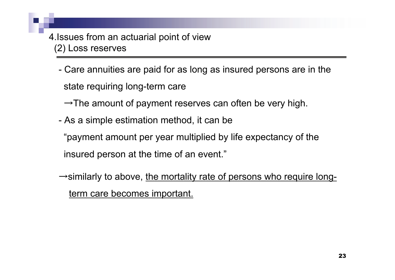- Care annuities are paid for as long as insured persons are in the state requiring long-term care

 $\rightarrow$ The amount of payment reserves can often be very high.

-As a simple estimation method, it can be

"payment amount per year multiplied by life expectancy of the insured person at the time of an event."

 $\rightarrow$ similarly to above, the mortality rate of persons who require longterm care becomes important.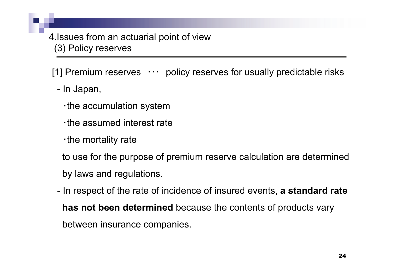[1] Premium reserves  $\cdots$  policy reserves for usually predictable risks

- In Japan,
	- ・the accumulation system
	- ・the assumed interest rate
	- ・the mortality rate

to use for the purpose of premium reserve calculation are determined by laws and regulations.

- In respect of the rate of incidence of insured events, **a standard rate has not been determined** because the contents of products vary between insurance companies.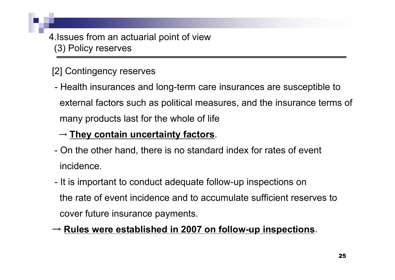# [2] Contingency reserves

- Health insurances and long-term care insurances are susceptible to external factors such as political measures, and the insurance terms of many products last for the whole of life

# → **They contain uncertainty factors**.

- On the other hand, there is no standard index for rates of event incidence.
- -- It is important to conduct adequate follow-up inspections on the rate of event incidence and to accumulate sufficient reserves to cover future insurance payments.

# → **Rules were established in 2007 on follow-up inspections**.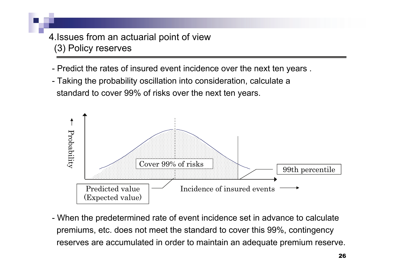- Predict the rates of insured event incidence over the next ten years .
- Taking the probability oscillation into consideration, calculate a standard to cover 99% of risks over the next ten years.



- When the predetermined rate of event incidence set in advance to calculate premiums, etc. does not meet the standard to cover this 99%, contingency reserves are accumulated in order to maintain an adequate premium reserve.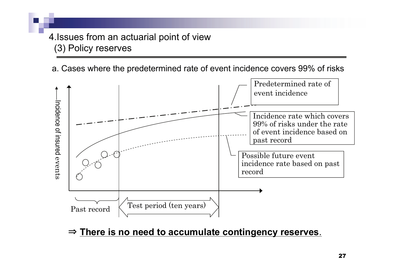a. Cases where the predetermined rate of event incidence covers 99% of risks



⇒ **There is no need to accumulate contingency reserves**.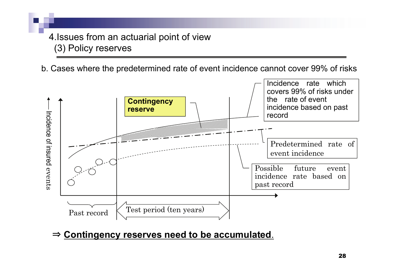b. Cases where the predetermined rate of event incidence cannot cover 99% of risks



⇒ **Contingency reserves need to be accumulated**.